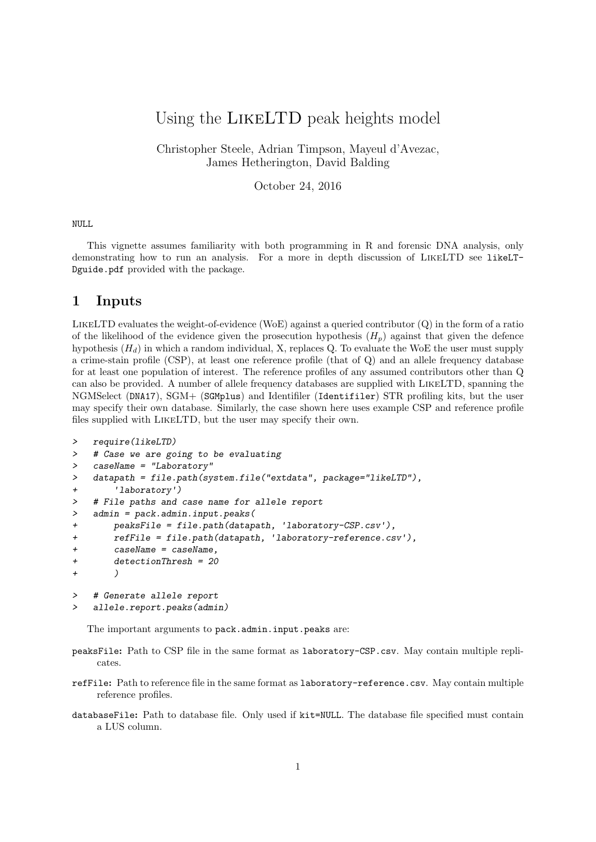# Using the LikeLTD peak heights model

Christopher Steele, Adrian Timpson, Mayeul d'Avezac, James Hetherington, David Balding

October 24, 2016

#### NULL

This vignette assumes familiarity with both programming in R and forensic DNA analysis, only demonstrating how to run an analysis. For a more in depth discussion of LikeLTD see likeLT-Dguide.pdf provided with the package.

### 1 Inputs

LikeLTD evaluates the weight-of-evidence (WoE) against a queried contributor (Q) in the form of a ratio of the likelihood of the evidence given the prosecution hypothesis  $(H_p)$  against that given the defence hypothesis  $(H_d)$  in which a random individual, X, replaces Q. To evaluate the WoE the user must supply a crime-stain profile (CSP), at least one reference profile (that of Q) and an allele frequency database for at least one population of interest. The reference profiles of any assumed contributors other than Q can also be provided. A number of allele frequency databases are supplied with LikeLTD, spanning the NGMSelect (DNA17), SGM+ (SGMplus) and Identifiler (Identifiler) STR profiling kits, but the user may specify their own database. Similarly, the case shown here uses example CSP and reference profile files supplied with LikeLTD, but the user may specify their own.

```
> require(likeLTD)
> # Case we are going to be evaluating
> caseName = "Laboratory"
> datapath = file.path(system.file("extdata", package="likeLTD"),
+ 'laboratory')
> # File paths and case name for allele report
> admin = pack.admin.input.peaks(
+ peaksFile = file.path(datapath, 'laboratory-CSP.csv'),
+ refFile = file.path(datapath, 'laboratory-reference.csv'),
+ caseName = caseName,
+ detectionThresh = 20
+ )
> # Generate allele report
```
allele.report.peaks(admin)

The important arguments to pack.admin.input.peaks are:

- peaksFile: Path to CSP file in the same format as laboratory-CSP.csv. May contain multiple replicates.
- refFile: Path to reference file in the same format as laboratory-reference.csv. May contain multiple reference profiles.
- databaseFile: Path to database file. Only used if kit=NULL. The database file specified must contain a LUS column.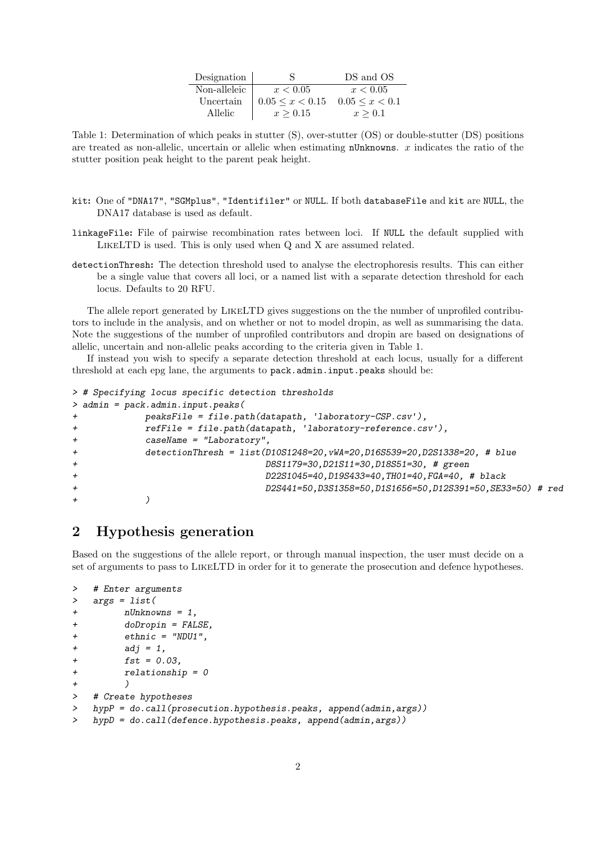| Designation  |                                                | DS and OS |
|--------------|------------------------------------------------|-----------|
| Non-alleleic | x < 0.05                                       | x < 0.05  |
| Uncertain    | $0.05 \leq x \leq 0.15$ $0.05 \leq x \leq 0.1$ |           |
| Allelic      | x > 0.15                                       | x > 0.1   |

Table 1: Determination of which peaks in stutter (S), over-stutter (OS) or double-stutter (DS) positions are treated as non-allelic, uncertain or allelic when estimating  $n$ Unknowns. x indicates the ratio of the stutter position peak height to the parent peak height.

- kit: One of "DNA17", "SGMplus", "Identifiler" or NULL. If both databaseFile and kit are NULL, the DNA17 database is used as default.
- linkageFile: File of pairwise recombination rates between loci. If NULL the default supplied with LikeLTD is used. This is only used when Q and X are assumed related.
- detectionThresh: The detection threshold used to analyse the electrophoresis results. This can either be a single value that covers all loci, or a named list with a separate detection threshold for each locus. Defaults to 20 RFU.

The allele report generated by LikeLTD gives suggestions on the the number of unprofiled contributors to include in the analysis, and on whether or not to model dropin, as well as summarising the data. Note the suggestions of the number of unprofiled contributors and dropin are based on designations of allelic, uncertain and non-allelic peaks according to the criteria given in Table 1.

If instead you wish to specify a separate detection threshold at each locus, usually for a different threshold at each epg lane, the arguments to pack.admin.input.peaks should be:

```
> # Specifying locus specific detection thresholds
> admin = pack.admin.input.peaks(
+ peaksFile = file.path(datapath, 'laboratory-CSP.csv'),
+ refFile = file.path(datapath, 'laboratory-reference.csv'),
+ caseName = "Laboratory",
           detectionThresh = list(D10S1248=20, vWA=20, D16S539=20, D2S1338=20, # blue)+ D8S1179=30,D21S11=30,D18S51=30, # green
+ D22S1045=40,D19S433=40,TH01=40,FGA=40, # black
                              + D2S441=50,D3S1358=50,D1S1656=50,D12S391=50,SE33=50) # red
+ )
```
## 2 Hypothesis generation

Based on the suggestions of the allele report, or through manual inspection, the user must decide on a set of arguments to pass to LikeLTD in order for it to generate the prosecution and defence hypotheses.

```
> # Enter arguments
> args = list(
+ nUnknowns = 1,
+ doDropin = FALSE,
+ ethnic = "NDU1",
+ adj = 1,
+ fst = 0.03,
+ relationship = 0
+ )
> # Create hypotheses
> hypP = do.call(prosecution.hypothesis.peaks, append(admin,args))
   > hypD = do.call(defence.hypothesis.peaks, append(admin,args))
```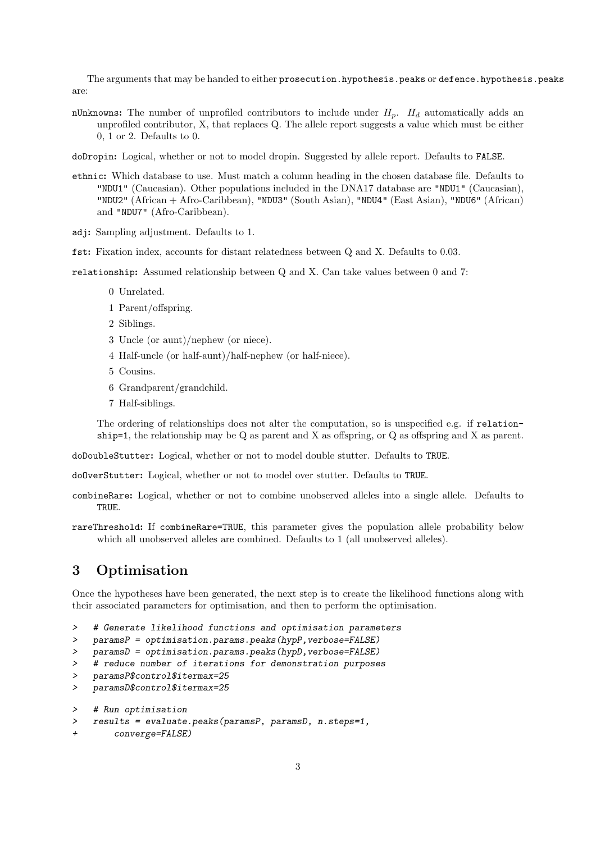The arguments that may be handed to either prosecution.hypothesis.peaks or defence.hypothesis.peaks are:

nUnknowns: The number of unprofiled contributors to include under  $H_p$ .  $H_d$  automatically adds an unprofiled contributor, X, that replaces Q. The allele report suggests a value which must be either 0, 1 or 2. Defaults to 0.

doDropin: Logical, whether or not to model dropin. Suggested by allele report. Defaults to FALSE.

- ethnic: Which database to use. Must match a column heading in the chosen database file. Defaults to "NDU1" (Caucasian). Other populations included in the DNA17 database are "NDU1" (Caucasian), "NDU2" (African + Afro-Caribbean), "NDU3" (South Asian), "NDU4" (East Asian), "NDU6" (African) and "NDU7" (Afro-Caribbean).
- adj: Sampling adjustment. Defaults to 1.
- fst: Fixation index, accounts for distant relatedness between Q and X. Defaults to 0.03.

relationship: Assumed relationship between Q and X. Can take values between 0 and 7:

- 0 Unrelated.
- 1 Parent/offspring.
- 2 Siblings.
- 3 Uncle (or aunt)/nephew (or niece).
- 4 Half-uncle (or half-aunt)/half-nephew (or half-niece).
- 5 Cousins.
- 6 Grandparent/grandchild.
- 7 Half-siblings.

The ordering of relationships does not alter the computation, so is unspecified e.g. if relationship=1, the relationship may be Q as parent and X as offspring, or Q as offspring and X as parent.

doDoubleStutter: Logical, whether or not to model double stutter. Defaults to TRUE.

doOverStutter: Logical, whether or not to model over stutter. Defaults to TRUE.

- combineRare: Logical, whether or not to combine unobserved alleles into a single allele. Defaults to TRUE.
- rareThreshold: If combineRare=TRUE, this parameter gives the population allele probability below which all unobserved alleles are combined. Defaults to 1 (all unobserved alleles).

## 3 Optimisation

Once the hypotheses have been generated, the next step is to create the likelihood functions along with their associated parameters for optimisation, and then to perform the optimisation.

```
> # Generate likelihood functions and optimisation parameters
```
> paramsP = optimisation.params.peaks(hypP,verbose=FALSE)

```
> paramsD = optimisation.params.peaks(hypD, verbose=FALSE)
```

```
> # reduce number of iterations for demonstration purposes
```

```
> paramsP$control$itermax=25
```

```
> paramsD$control$itermax=25
```

```
> # Run optimisation
```

```
> results = evaluate.peaks(paramsP, paramsD, n.steps=1,
```

```
converge=FALSE)
```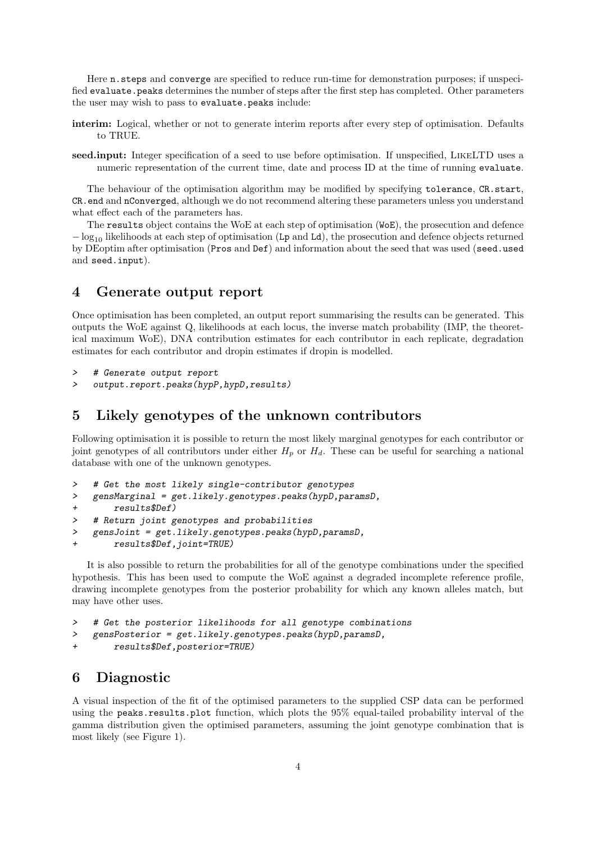Here n.steps and converge are specified to reduce run-time for demonstration purposes; if unspecified evaluate.peaks determines the number of steps after the first step has completed. Other parameters the user may wish to pass to evaluate.peaks include:

- interim: Logical, whether or not to generate interim reports after every step of optimisation. Defaults to TRUE.
- seed.input: Integer specification of a seed to use before optimisation. If unspecified, LikeLTD uses a numeric representation of the current time, date and process ID at the time of running evaluate.

The behaviour of the optimisation algorithm may be modified by specifying tolerance, CR.start, CR.end and nConverged, although we do not recommend altering these parameters unless you understand what effect each of the parameters has.

The results object contains the WoE at each step of optimisation (WoE), the prosecution and defence  $-\log_{10}$  likelihoods at each step of optimisation (Lp and Ld), the prosecution and defence objects returned by DEoptim after optimisation (Pros and Def) and information about the seed that was used (seed.used and seed.input).

## 4 Generate output report

Once optimisation has been completed, an output report summarising the results can be generated. This outputs the WoE against Q, likelihoods at each locus, the inverse match probability (IMP, the theoretical maximum WoE), DNA contribution estimates for each contributor in each replicate, degradation estimates for each contributor and dropin estimates if dropin is modelled.

```
> # Generate output report
```
> output.report.peaks(hypP,hypD,results)

## 5 Likely genotypes of the unknown contributors

Following optimisation it is possible to return the most likely marginal genotypes for each contributor or joint genotypes of all contributors under either  $H_p$  or  $H_d$ . These can be useful for searching a national database with one of the unknown genotypes.

- > # Get the most likely single-contributor genotypes
- > gensMarginal = get.likely.genotypes.peaks(hypD,paramsD,

```
+ results$Def)
```
- > # Return joint genotypes and probabilities
- > gensJoint = get.likely.genotypes.peaks(hypD,paramsD,
- + results\$Def,joint=TRUE)

It is also possible to return the probabilities for all of the genotype combinations under the specified hypothesis. This has been used to compute the WoE against a degraded incomplete reference profile, drawing incomplete genotypes from the posterior probability for which any known alleles match, but may have other uses.

```
> # Get the posterior likelihoods for all genotype combinations
```

```
> gensPosterior = get.likely.genotypes.peaks(hypD,paramsD,
```

```
+ results$Def,posterior=TRUE)
```
## 6 Diagnostic

A visual inspection of the fit of the optimised parameters to the supplied CSP data can be performed using the peaks.results.plot function, which plots the 95% equal-tailed probability interval of the gamma distribution given the optimised parameters, assuming the joint genotype combination that is most likely (see Figure 1).